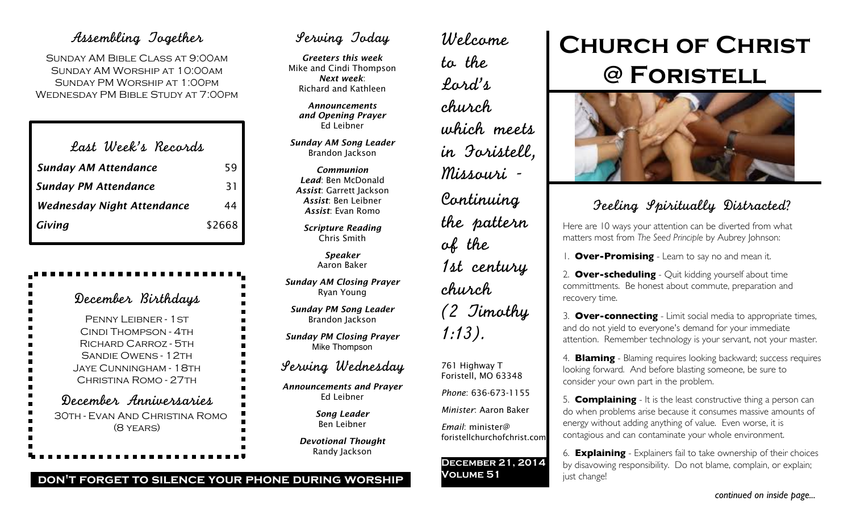## Assembling Together

Sunday AM Bible Class at 9:00am Sunday AM Worship at 10:00am Sunday PM Worship at 1:00pm Wednesday PM Bible Study at 7:00pm

| Last Week's Records               |        |
|-----------------------------------|--------|
| <b>Sunday AM Attendance</b>       | 59     |
| <b>Sunday PM Attendance</b>       | 31     |
| <b>Wednesday Night Attendance</b> | 44     |
| Giving                            | \$2668 |

| December Birthdays                                                                                                                               |
|--------------------------------------------------------------------------------------------------------------------------------------------------|
| PENNY LEIBNER - 1 ST<br>CINDI THOMPSON - 4TH<br>RICHARD CARROZ - 5TH<br>SANDIF OWENS - 12TH<br>. Jaye Cunningham - 18th<br>CHRISTINA ROMO - 27TH |
| December Anniversaries<br>30TH - EVAN AND CHRISTINA ROMO<br>$(8$ YEARS)                                                                          |

## Serving Today

*Greeters this week* Mike and Cindi Thompson *Next week*: Richard and Kathleen

*Announcements and Opening Prayer* Ed Leibner

*Sunday AM Song Leader* Brandon Jackson

*Communion Lead*: Ben McDonald *Assist*: Garrett Jackson *Assist*: Ben Leibner *Assist*: Evan Romo

*Scripture Reading* Chris Smith

> *Speaker* Aaron Baker

*Sunday AM Closing Prayer* Ryan Young

*Sunday PM Song Leader* Brandon Jackson

*Sunday PM Closing Prayer* Mike Thompson

## Serving Wednesday

*Announcements and Prayer* Ed Leibner

> *Song Leader* Ben Leibner

*Devotional Thought* Randy Jackson

Welcome to the Lord's church which meets in Foristell, Missouri - Continuing the pattern of the 1st century church (2 Timothy 1:13).

761 Highway T Foristell, MO 63348

*Phone*: 636-673-1155

*Minister*: Aaron Baker *Email*: minister@

foristellchurchofchrist.com

**December 21, 2014 Volume 51**

# **Church of Christ @ Foristell**



## Feeling Spiritually Distracted?

Here are 10 ways your attention can be diverted from what matters most from *The Seed Principle* by Aubrey Johnson:

1. **Over-Promising** - Learn to say no and mean it.

2. **Over-scheduling** - Quit kidding yourself about time committments. Be honest about commute, preparation and recovery time.

3. **Over-connecting** - Limit social media to appropriate times, and do not yield to everyone's demand for your immediate attention. Remember technology is your servant, not your master.

4. **Blaming** - Blaming requires looking backward; success requires looking forward. And before blasting someone, be sure to consider your own part in the problem.

5. **Complaining** - It is the least constructive thing a person can do when problems arise because it consumes massive amounts of energy without adding anything of value. Even worse, it is contagious and can contaminate your whole environment.

6. **Explaining** - Explainers fail to take ownership of their choices by disavowing responsibility. Do not blame, complain, or explain; just change!

### **don't forget to silence your phone during worship**

*continued on inside page...*